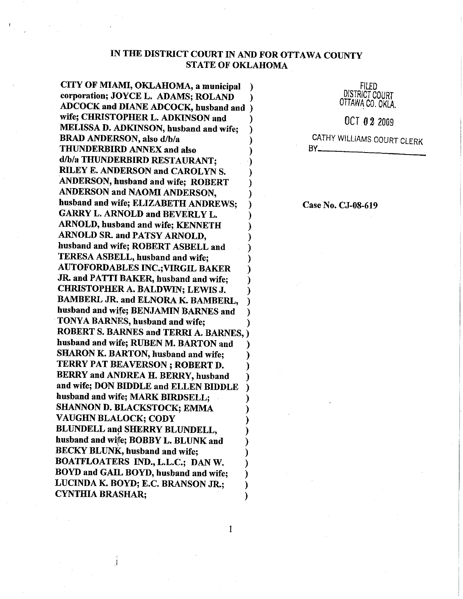## IN THE DISTRICT COURT IN AND FOR OTTAWA COUNTY **STATE OF OKLAHOMA**

 $\mathbf{1}$ 

 $\lambda$ 

CITY OF MIAMI, OKLAHOMA, a municipal corporation; JOYCE L. ADAMS: ROLAND ADCOCK and DIANE ADCOCK, husband and ) wife; CHRISTOPHER L. ADKINSON and MELISSA D. ADKINSON, husband and wife; **BRAD ANDERSON, also d/b/a** THUNDERBIRD ANNEX and also d/b/a THUNDERBIRD RESTAURANT; RILEY E. ANDERSON and CAROLYN S. ANDERSON, husband and wife; ROBERT ANDERSON and NAOMI ANDERSON, husband and wife; ELIZABETH ANDREWS: **GARRY L. ARNOLD and BEVERLY L. ARNOLD, husband and wife: KENNETH** ARNOLD SR. and PATSY ARNOLD, husband and wife; ROBERT ASBELL and TERESA ASBELL, husband and wife: **AUTOFORDABLES INC.; VIRGIL BAKER** JR. and PATTI BAKER, husband and wife: **CHRISTOPHER A. BALDWIN: LEWIS J.** BAMBERL JR. and ELNORA K. BAMBERL. husband and wife; BENJAMIN BARNES and TONYA BARNES, husband and wife; **ROBERT S. BARNES and TERRI A. BARNES, )** husband and wife; RUBEN M. BARTON and SHARON K. BARTON, husband and wife; TERRY PAT BEAVERSON; ROBERT D. BERRY and ANDREA H. BERRY, husband and wife; DON BIDDLE and ELLEN BIDDLE husband and wife; MARK BIRDSELL: SHANNON D. BLACKSTOCK; EMMA **VAUGHN BLALOCK; CODY** BLUNDELL and SHERRY BLUNDELL, husband and wife; BOBBY L. BLUNK and **BECKY BLUNK, husband and wife:** BOATFLOATERS IND., L.L.C.; DAN W. BOYD and GAIL BOYD, husband and wife; LUCINDA K. BOYD; E.C. BRANSON JR.; **CYNTHIA BRASHAR:** 

Filed **DISTRICT COURT** OTTAWA CO, OKLA.

OCT 02 2009

CATHY WILLIAMS COURT CLERK  $BY$ <sub>-</sub>

Case No. CJ-08-619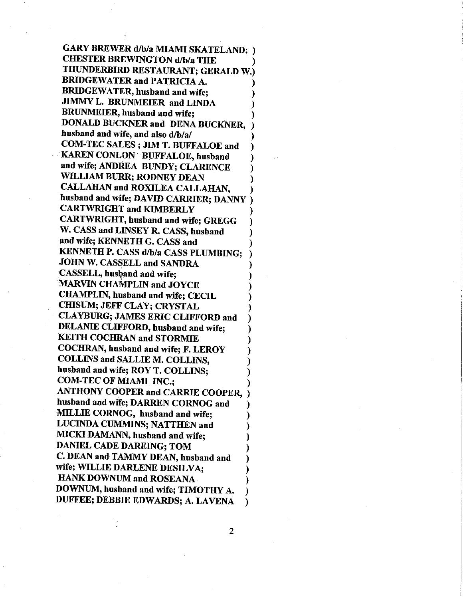**GARY BREWER d/b/a MIAMI SKATELAND; ) CHESTER BREWINGTON d/b/a THE** THUNDERBIRD RESTAURANT; GERALD W.) **BRIDGEWATER and PATRICIA A. BRIDGEWATER, husband and wife:** JIMMY L. BRUNMEIER and LINDA **BRUNMEIER**, husband and wife; DONALD BUCKNER and DENA BUCKNER. husband and wife, and also d/b/a/ COM-TEC SALES; JIM T. BUFFALOE and **KAREN CONLON BUFFALOE, husband** and wife; ANDREA BUNDY; CLARENCE WILLIAM BURR; RODNEY DEAN CALLAHAN and ROXILEA CALLAHAN. husband and wife; DAVID CARRIER; DANNY **CARTWRIGHT and KIMBERLY CARTWRIGHT, husband and wife; GREGG** W. CASS and LINSEY R. CASS, husband and wife; KENNETH G. CASS and KENNETH P. CASS d/b/a CASS PLUMBING; JOHN W. CASSELL and SANDRA **CASSELL**, husband and wife: MARVIN CHAMPLIN and JOYCE CHAMPLIN, husband and wife; CECIL **CHISUM: JEFF CLAY: CRYSTAL CLAYBURG; JAMES ERIC CLIFFORD and** DELANIE CLIFFORD, husband and wife; **KEITH COCHRAN and STORMIE** COCHRAN, husband and wife; F. LEROY **COLLINS and SALLIE M. COLLINS,** husband and wife; ROY T. COLLINS; **COM-TEC OF MIAMI INC.: ANTHONY COOPER and CARRIE COOPER,** husband and wife; DARREN CORNOG and MILLIE CORNOG, husband and wife; **LUCINDA CUMMINS; NATTHEN and** MICKI DAMANN, husband and wife: **DANIEL CADE DAREING; TOM** C. DEAN and TAMMY DEAN, husband and wife; WILLIE DARLENE DESILVA; **HANK DOWNUM and ROSEANA** DOWNUM, husband and wife; TIMOTHY A. DUFFEE; DEBBIE EDWARDS; A. LAVENA

 $\overline{2}$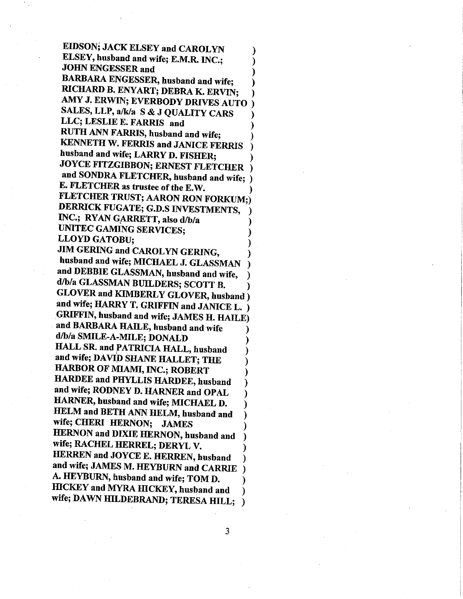EIDSON; JACK ELSEY and CAROLYN ELSEY, husband and wife; E.M.R. INC.; **JOHN ENGESSER and** BARBARA ENGESSER, husband and wife; RICHARD B. ENYART; DEBRA K. ERVIN; AMY J. ERWIN; EVERBODY DRIVES AUTO ) SALES, LLP, a/k/a S & J QUALITY CARS LLC; LESLIE E. FARRIS and RUTH ANN FARRIS, husband and wife; **KENNETH W. FERRIS and JANICE FERRIS** husband and wife; LARRY D. FISHER; JOYCE FITZGIBBON; ERNEST FLETCHER and SONDRA FLETCHER, husband and wife; ) E. FLETCHER as trustee of the E.W. FLETCHER TRUST; AARON RON FORKUM;) DERRICK FUGATE; G.D.S INVESTMENTS, INC.; RYAN GARRETT, also d/b/a UNITEC GAMING SERVICES; **LLOYD GATOBU;** JIM GERING and CAROLYN GERING, husband and wife; MICHAEL J. GLASSMAN and DEBBIE GLASSMAN, husband and wife, d/b/a GLASSMAN BUILDERS; SCOTT B. **GLOVER and KIMBERLY GLOVER, husband**) and wife; HARRY T. GRIFFIN and JANICE L. ) GRIFFIN, husband and wife; JAMES H. HAILE) and BARBARA HAILE, husband and wife d/b/a SMILE-A-MILE; DONALD HALL SR. and PATRICIA HALL, husband and wife; DAVID SHANE HALLET; THE HARBOR OF MIAMI, INC.; ROBERT HARDEE and PHYLLIS HARDEE, husband and wife; RODNEY D. HARNER and OPAL HARNER, husband and wife; MICHAEL D. HELM and BETH ANN HELM, husband and wife; CHERI HERNON; JAMES HERNON and DIXIE HERNON, husband and wife; RACHEL HERREL; DERYL V. HERREN and JOYCE E. HERREN, husband and wife; JAMES M. HEYBURN and CARRIE A. HEYBURN, husband and wife; TOM D. HICKEY and MYRA HICKEY, husband and wife; DAWN HILDEBRAND; TERESA HILL;

3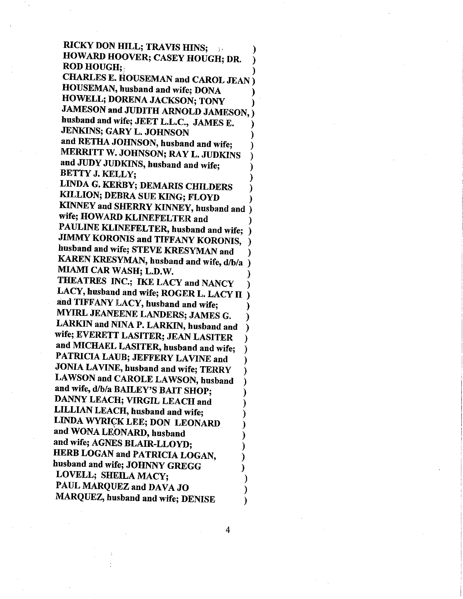RICKY DON HILL; TRAVIS HINS; HOWARD HOOVER; CASEY HOUGH; DR. **ROD HOUGH;** 

CHARLES E. HOUSEMAN and CAROL JEAN) HOUSEMAN, husband and wife; DONA HOWELL; DORENA JACKSON; TONY JAMESON and JUDITH ARNOLD JAMESON, ) husband and wife; JEET L.L.C., JAMES E. JENKINS; GARY L. JOHNSON and RETHA JOHNSON, husband and wife; MERRITT W. JOHNSON; RAY L. JUDKINS and JUDY JUDKINS, husband and wife; **BETTY J. KELLY;** 

LINDA G. KERBY; DEMARIS CHILDERS KILLION; DEBRA SUE KING; FLOYD KINNEY and SHERRY KINNEY, husband and ) wife; HOWARD KLINEFELTER and PAULINE KLINEFELTER, husband and wife; **JIMMY KORONIS and TIFFANY KORONIS,** husband and wife; STEVE KRESYMAN and KAREN KRESYMAN, husband and wife, d/b/a MIAMI CAR WASH; L.D.W. THEATRES INC.; IKE LACY and NANCY LACY, husband and wife; ROGER L. LACY II  $\lambda$ and TIFFANY LACY, husband and wife; MYIRL JEANEENE LANDERS; JAMES G. LARKIN and NINA P. LARKIN, husband and wife; EVERETT LASITER; JEAN LASITER and MICHAEL LASITER, husband and wife; PATRICIA LAUB; JEFFERY LAVINE and JONIA LAVINE, husband and wife; TERRY LAWSON and CAROLE LAWSON, husband and wife, d/b/a BAILEY'S BAIT SHOP; DANNY LEACH; VIRGIL LEACH and LILLIAN LEACH, husband and wife; LINDA WYRICK LEE; DON LEONARD and WONA LEONARD, husband and wife; AGNES BLAIR-LLOYD; HERB LOGAN and PATRICIA LOGAN. husband and wife; JOHNNY GREGG LOVELL; SHEILA MACY; PAUL MARQUEZ and DAVA JO MARQUEZ, husband and wife; DENISE ℩

 $\overline{4}$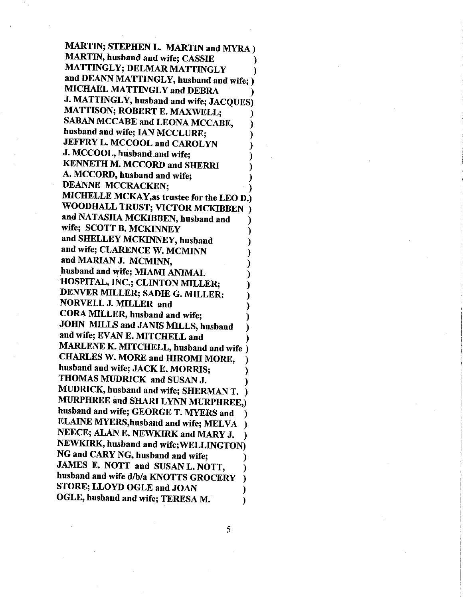**MARTIN; STEPHEN L. MARTIN and MYRA) MARTIN, husband and wife; CASSIE** MATTINGLY; DELMAR MATTINGLY and DEANN MATTINGLY, husband and wife; ) MICHAEL MATTINGLY and DEBRA J. MATTINGLY, husband and wife; JACQUES) MATTISON; ROBERT E. MAXWELL; **SABAN MCCABE and LEONA MCCABE,** husband and wife; IAN MCCLURE; JEFFRY L. MCCOOL and CAROLYN J. MCCOOL, husband and wife; **KENNETH M. MCCORD and SHERRI** A. MCCORD, husband and wife; **DEANNE MCCRACKEN;** MICHELLE MCKAY, as trustee for the LEO D.) WOODHALL TRUST; VICTOR MCKIBBEN) and NATASHA MCKIBBEN, husband and wife; SCOTT B. MCKINNEY and SHELLEY MCKINNEY, husband and wife; CLARENCE W. MCMINN and MARIAN J. MCMINN, husband and wife; MIAMI ANIMAL HOSPITAL, INC.; CLINTON MILLER; DENVER MILLER; SADIE G. MILLER: NORVELL J. MILLER and CORA MILLER, husband and wife: **JOHN MILLS and JANIS MILLS, husband** and wife; EVAN E. MITCHELL and MARLENE K. MITCHELL, husband and wife ) **CHARLES W. MORE and HIROMI MORE,** husband and wife; JACK E. MORRIS; THOMAS MUDRICK and SUSAN J. MUDRICK, husband and wife; SHERMAN T. MURPHREE and SHARI LYNN MURPHREE.) husband and wife; GEORGE T. MYERS and ELAINE MYERS, husband and wife; MELVA NEECE; ALAN E. NEWKIRK and MARY J. NEWKIRK, husband and wife; WELLINGTON) NG and CARY NG, husband and wife: JAMES E. NOTT and SUSAN L. NOTT. husband and wife d/b/a KNOTTS GROCERY STORE; LLOYD OGLE and JOAN OGLE, husband and wife; TERESA M. ١

5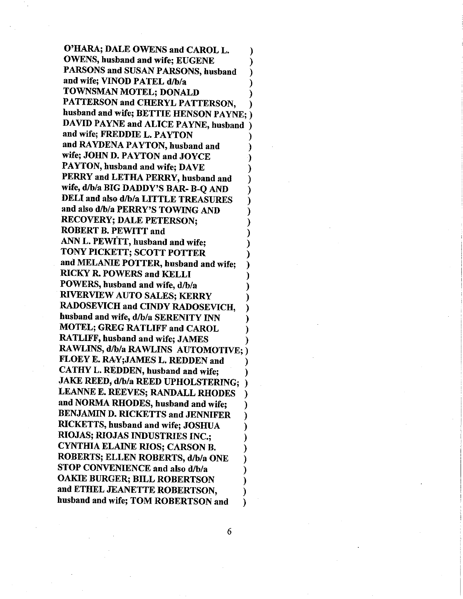O'HARA; DALE OWENS and CAROL L. **OWENS, husband and wife; EUGENE** PARSONS and SUSAN PARSONS, husband and wife; VINOD PATEL d/b/a TOWNSMAN MOTEL; DONALD PATTERSON and CHERYL PATTERSON. husband and wife; BETTIE HENSON PAYNE; ) DAVID PAYNE and ALICE PAYNE, husband and wife; FREDDIE L. PAYTON and RAYDENA PAYTON, husband and wife; JOHN D. PAYTON and JOYCE PAYTON, husband and wife; DAVE PERRY and LETHA PERRY, husband and wife, d/b/a BIG DADDY'S BAR- B-Q AND DELI and also d/b/a LITTLE TREASURES and also d/b/a PERRY'S TOWING AND **RECOVERY; DALE PETERSON; ROBERT B. PEWITT and** ANN L. PEWITT, husband and wife; TONY PICKETT; SCOTT POTTER and MELANIE POTTER, husband and wife; **RICKY R. POWERS and KELLI** POWERS, husband and wife, d/b/a **RIVERVIEW AUTO SALES; KERRY RADOSEVICH and CINDY RADOSEVICH,** husband and wife, d/b/a SERENITY INN **MOTEL: GREG RATLIFF and CAROL RATLIFF, husband and wife; JAMES** RAWLINS, d/b/a RAWLINS AUTOMOTIVE; ) FLOEY E. RAY; JAMES L. REDDEN and CATHY L. REDDEN, husband and wife; **JAKE REED, d/b/a REED UPHOLSTERING;** LEANNE E. REEVES; RANDALL RHODES and NORMA RHODES, husband and wife: **BENJAMIN D. RICKETTS and JENNIFER** RICKETTS, husband and wife; JOSHUA RIOJAS; RIOJAS INDUSTRIES INC.; **CYNTHIA ELAINE RIOS; CARSON B.** ROBERTS: ELLEN ROBERTS, d/b/a ONE STOP CONVENIENCE and also d/b/a OAKIE BURGER; BILL ROBERTSON and ETHEL JEANETTE ROBERTSON, husband and wife; TOM ROBERTSON and

6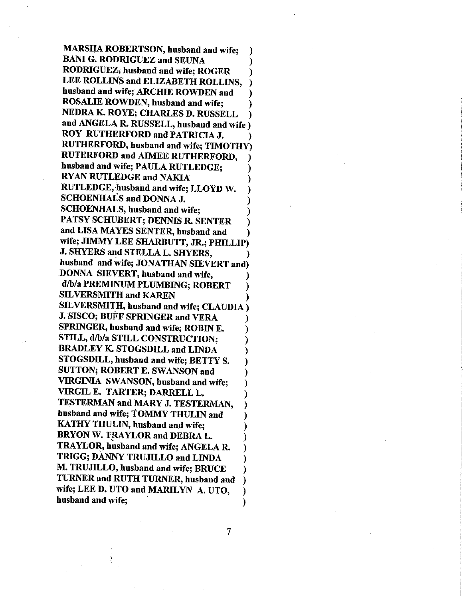**MARSHA ROBERTSON, husband and wife: BANI G. RODRIGUEZ and SEUNA** RODRIGUEZ, husband and wife; ROGER LEE ROLLINS and ELIZABETH ROLLINS, husband and wife; ARCHIE ROWDEN and **ROSALIE ROWDEN, husband and wife;** NEDRA K. ROYE; CHARLES D. RUSSELL and ANGELA R. RUSSELL, husband and wife) ROY RUTHERFORD and PATRICIA J. RUTHERFORD, husband and wife; TIMOTHY) **RUTERFORD and AIMEE RUTHERFORD,** husband and wife; PAULA RUTLEDGE; **RYAN RUTLEDGE and NAKIA** RUTLEDGE, husband and wife; LLOYD W. **SCHOENHALS and DONNA J. SCHOENHALS, husband and wife:** PATSY SCHUBERT; DENNIS R. SENTER and LISA MAYES SENTER, husband and wife; JIMMY LEE SHARBUTT, JR.; PHILLIP) J. SHYERS and STELLA L. SHYERS, husband and wife; JONATHAN SIEVERT and) DONNA SIEVERT, husband and wife, d/b/a PREMINUM PLUMBING; ROBERT **SILVERSMITH and KAREN** SILVERSMITH, husband and wife; CLAUDIA) **J. SISCO; BUFF SPRINGER and VERA** SPRINGER, husband and wife; ROBIN E. STILL, d/b/a STILL CONSTRUCTION; **BRADLEY K. STOGSDILL and LINDA** STOGSDILL, husband and wife; BETTY S. SUTTON; ROBERT E. SWANSON and VIRGINIA SWANSON, husband and wife; VIRGIL E. TARTER; DARRELL L. TESTERMAN and MARY J. TESTERMAN, husband and wife; TOMMY THULIN and KATHY THULIN, husband and wife; BRYON W. TRAYLOR and DEBRA L. TRAYLOR, husband and wife; ANGELA R. TRIGG; DANNY TRUJILLO and LINDA M. TRUJILLO, husband and wife; BRUCE TURNER and RUTH TURNER, husband and wife; LEE D. UTO and MARILYN A. UTO, husband and wife:

 $\overline{7}$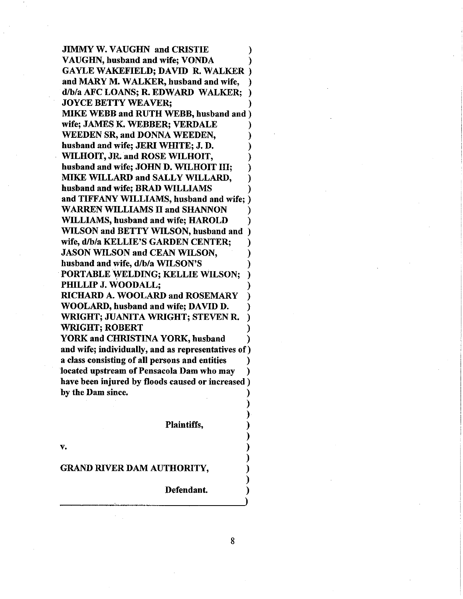JIMMY W. VAUGHN and CRISTIE VAUGHN, husband and wife; VONDA GAYLE WAKEFIELD; DAVID R, WALKER ând MARY M. WALKER, husband and wife, d/b/a AFC LOANS; R. EDWARD WALKER; **JOYCE BETTY WEAVER:** MIKE WEBB and RUTH WEBB, husband and ) wife; JAMES K. WEBBER; VERDALE WEEDEN SR, and DONNA WEEDEN, husband and wife; JERI WHITE; J. D. WILHOIT, JR. and ROSE WILHOIT, husband and wife; JOHN D. WILHOIT III; MIKE WILLARD and SALLY WILLARD, husband and wife; BRÄD WILLIAMS and TIFFANY WILLIAMS, husband and wife; ) WARREN WILLIAMS II and SHANNON IYILLIAMS, husband and wife; HAROLD WILSON and BETTY WILSON, husband and ) wife, d/b/a KELLIE'S GARDEN CENTER; JASON WILSON and CEAN WILSON, husband and wife, d/b/a WILSON'S PORTABLE WELDING; KELLIE WILSON; PHILLIP J. WOODALL; RICHARD A. WOOLARD and ROSEMARY IVOOLARD, husband and wife; DAVID D. WRIGHT; JUANITA WRIGHT; STEVEN R. WRIGHT; ROBERT YORK and CHRISTINA YORK, husband and wife; individually, and as representatives of) a class consisting of all persons and entities located upstream of Pensacola Dam who may have been injured by floods caused or increased) by the Dam since.

Plaintiffs,

v.

## GRAND RTVER DAM AUTHORITY,

Defendant.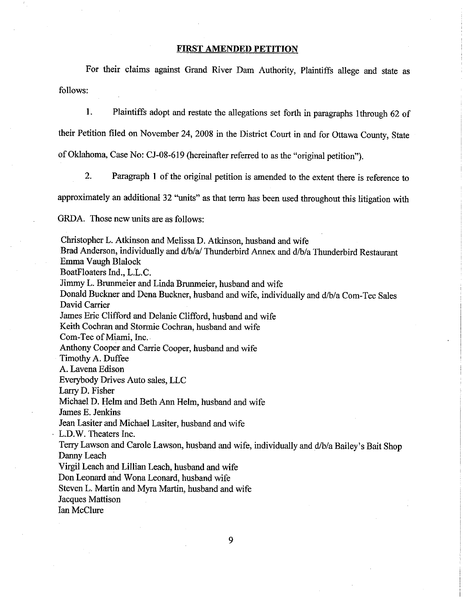## FIRST AMENDED PETITION

For their claims against Grand River Dam Authority, Plaintiffs allege and state as follows:

L Plaintiffs adopt and restate the allegations set forth in paragraphs lthrough 62 of their Petition filed on November 24, 2008 in the District Court in and for Ottawa County, State of Oklahoma, Case No: CJ-08-619 (hereinafter referred to as the "original petition").

2. Paragraph 1 of the original petition is amended to the extent there is reference to approximately an additional 32 "units" as that term has been used throughout this litigation with

GRDA. Those new units are as follows:

Christopher L. Atkinson and Melissa D. Atkinson, husband and wife Brad Anderson, individually and d/b/a/ Thunderbird Annex and d/b/a Thunderbird Restaurant Emma Vaugh Blalock BoatFloaters Ind., L.L.C. Jimmy L. Brunmeier and Linda Brunmeier, husband and wife Donald Buckner and Dena Buckner, husband and wife, individually and d/b/a Com-Tec Sales David Carrier James Eric Clifford and Delanie Clifford, husband and wife Keith Cochran and Stormie Cochran, husband and wife Com-Tec of Miami, Inc. Anthony Cooper and Carrie Cooper, husband and wife Timothy A. Duffee A. Lavena Edison Everybody Drives Auto sales, LLC Larry D. Fisher Michael D. Helm and Beth Ann Helm, husband and wife James E. Jenkins Jean Lasiter and Michael Lasiter, husband and wife L.D.W. Theaters Inc. Terry Lawson and Carole Lawson, husband and wife, individually and d/b/a Bailey's Bait Shop Danny Leach Virgil Leach and Lillian Leach, husband and wife Don Leonard and Wona Leonard, husband wife Steven L. Martin and Myra Martin, husband and wife Jacques Mattison

Ian McClure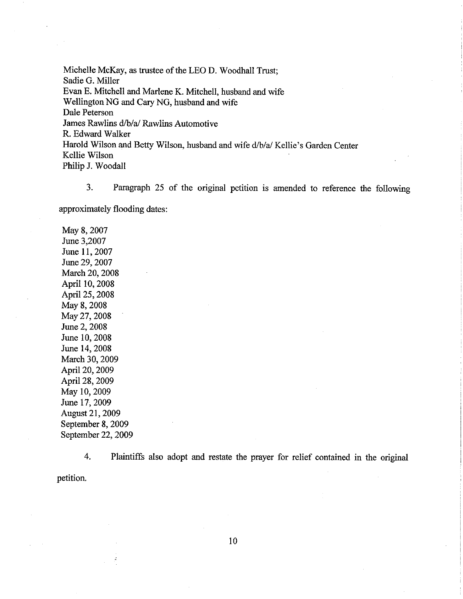Michelle McKay, as trustee of the LEO D. Woodhall Trust; Sadie G. Miller Evan E. Mitchell and Marlene K. Mitchell, husband and wife Wellington NG and Cary NG, husband and wife Dale Peterson James Rawlins d/b/a/ Rawlins Automotive R. Edward Walker Harold Wilson and Betty Wilson, husband and wife d/b/a/ Kellie's Garden Center Kellie Wilson Philip J. Woodall

3. Paragraph 25 of the original petition is amended to reference the following approximately flooding dates:

May 8,2007 June 3,2007 June 11, 2007 June 29,2007 March 20, 2008 April 10,2008 April 25,2008 May 8, 2008 May27,2008 June 2, 2008 June 10,2008 June 14,2008 March 30,2009 April 20, 2009 April 28, 2009 May 10,2009 June 17, 2009 August 21,2009 September 8,2009 September 22, 2009

4. petition. Plaintiffs also adopt and restate the prayer for relief contained in the original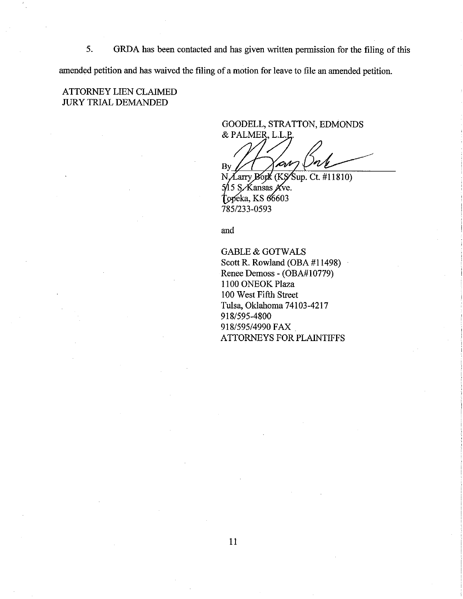GRDA has been contacted and has given written permission for the filing of this 5. amended petition and has waived the filing of a motion for leave to file an amended petition.

**ATTORNEY LIEN CLAIMED JURY TRIAL DEMANDED** 

> GOODELL, STRATTON, EDMONDS & PALMER, L.L.P

'CrN By

N Zarry Bork (KS Sup. Ct. #11810) 5/15 S. Kansas Ave. Topeka, KS 66603 785/233-0593

and

**GABLE & GOTWALS** Scott R. Rowland (OBA #11498) Renee Demoss - (OBA#10779) 1100 ONEOK Plaza 100 West Fifth Street Tulsa, Oklahoma 74103-4217 918/595-4800 918/595/4990 FAX ATTORNEYS FOR PLAINTIFFS